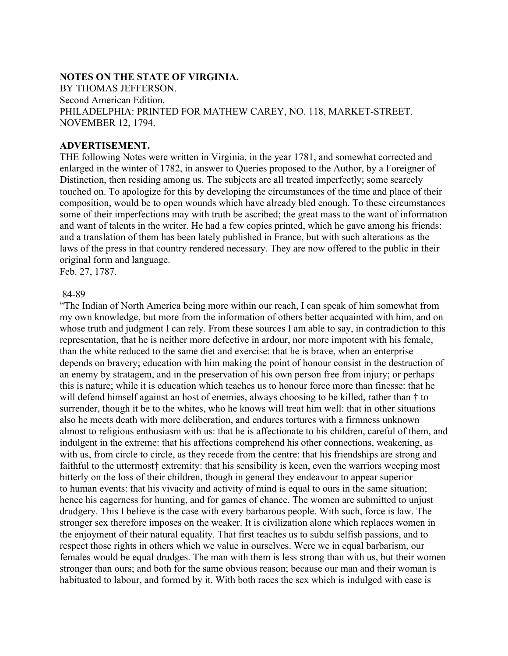## **NOTES ON THE STATE OF VIRGINIA.**

BY THOMAS JEFFERSON. Second American Edition. PHILADELPHIA: PRINTED FOR MATHEW CAREY, NO. 118, MARKET-STREET. NOVEMBER 12, 1794.

## **ADVERTISEMENT.**

THE following Notes were written in Virginia, in the year 1781, and somewhat corrected and enlarged in the winter of 1782, in answer to Queries proposed to the Author, by a Foreigner of Distinction, then residing among us. The subjects are all treated imperfectly; some scarcely touched on. To apologize for this by developing the circumstances of the time and place of their composition, would be to open wounds which have already bled enough. To these circumstances some of their imperfections may with truth be ascribed; the great mass to the want of information and want of talents in the writer. He had a few copies printed, which he gave among his friends: and a translation of them has been lately published in France, but with such alterations as the laws of the press in that country rendered necessary. They are now offered to the public in their original form and language.

Feb. 27, 1787.

## 84-89

"The Indian of North America being more within our reach, I can speak of him somewhat from my own knowledge, but more from the information of others better acquainted with him, and on whose truth and judgment I can rely. From these sources I am able to say, in contradiction to this representation, that he is neither more defective in ardour, nor more impotent with his female, than the white reduced to the same diet and exercise: that he is brave, when an enterprise depends on bravery; education with him making the point of honour consist in the destruction of an enemy by stratagem, and in the preservation of his own person free from injury; or perhaps this is nature; while it is education which teaches us to honour force more than finesse: that he will defend himself against an host of enemies, always choosing to be killed, rather than † to surrender, though it be to the whites, who he knows will treat him well: that in other situations also he meets death with more deliberation, and endures tortures with a firmness unknown almost to religious enthusiasm with us: that he is affectionate to his children, careful of them, and indulgent in the extreme: that his affections comprehend his other connections, weakening, as with us, from circle to circle, as they recede from the centre: that his friendships are strong and faithful to the uttermost† extremity: that his sensibility is keen, even the warriors weeping most bitterly on the loss of their children, though in general they endeavour to appear superior to human events: that his vivacity and activity of mind is equal to ours in the same situation; hence his eagerness for hunting, and for games of chance. The women are submitted to unjust drudgery. This I believe is the case with every barbarous people. With such, force is law. The stronger sex therefore imposes on the weaker. It is civilization alone which replaces women in the enjoyment of their natural equality. That first teaches us to subdu selfish passions, and to respect those rights in others which we value in ourselves. Were we in equal barbarism, our females would be equal drudges. The man with them is less strong than with us, but their women stronger than ours; and both for the same obvious reason; because our man and their woman is habituated to labour, and formed by it. With both races the sex which is indulged with ease is